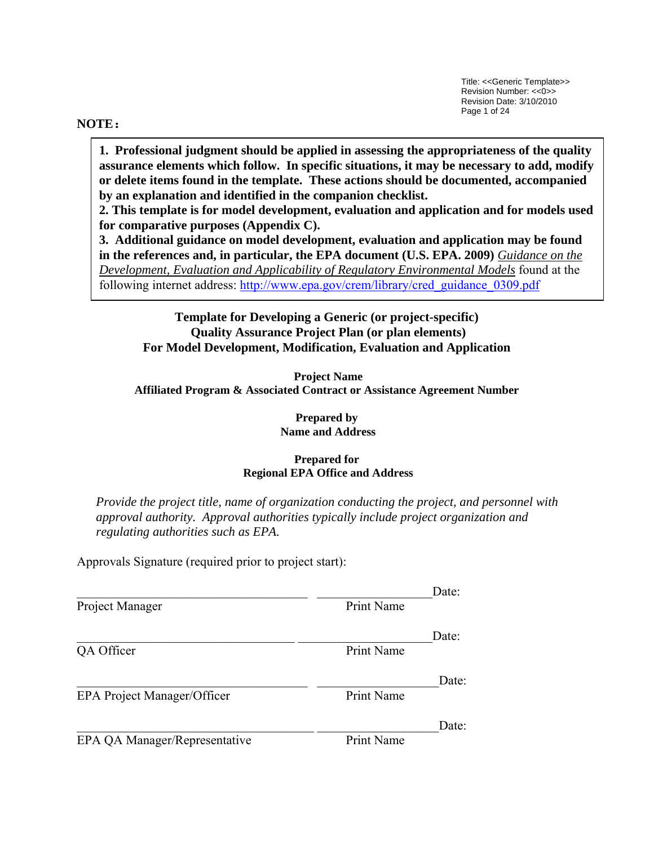Title: <<Generic Template>> Revision Number: <<0>> Revision Date: 3/10/2010 Page 1 of 24

#### **NOTE:**

**1. Professional judgment should be applied in assessing the appropriateness of the quality assurance elements which follow. In specific situations, it may be necessary to add, modify or delete items found in the template. These actions should be documented, accompanied by an explanation and identified in the companion checklist.** 

**2. This template is for model development, evaluation and application and for models used for comparative purposes (Appendix C).** 

**3. Additional guidance on model development, evaluation and application may be found in the references and, in particular, the EPA document (U.S. EPA. 2009)** *Guidance on the Development, Evaluation and Applicability of Regulatory Environmental Models* found at the following internet address: [http://www.epa.gov/crem/library/cred\\_guidance\\_0309.pdf](http://www.epa.gov/crem/library/cred_guidance_0309.pdf)

**Template for Developing a Generic (or project-specific) Quality Assurance Project Plan (or plan elements) For Model Development, Modification, Evaluation and Application** 

**Project Name Affiliated Program & Associated Contract or Assistance Agreement Number** 

> **Prepared by Name and Address**

#### **Prepared for Regional EPA Office and Address**

*Provide the project title, name of organization conducting the project, and personnel with approval authority. Approval authorities typically include project organization and regulating authorities such as EPA.* 

Approvals Signature (required prior to project start):

|                                    |            | Date: |
|------------------------------------|------------|-------|
| Project Manager                    | Print Name |       |
|                                    |            | Date: |
| QA Officer                         | Print Name |       |
|                                    |            | Date: |
| <b>EPA Project Manager/Officer</b> | Print Name |       |
|                                    |            | Date: |
| EPA QA Manager/Representative      | Print Name |       |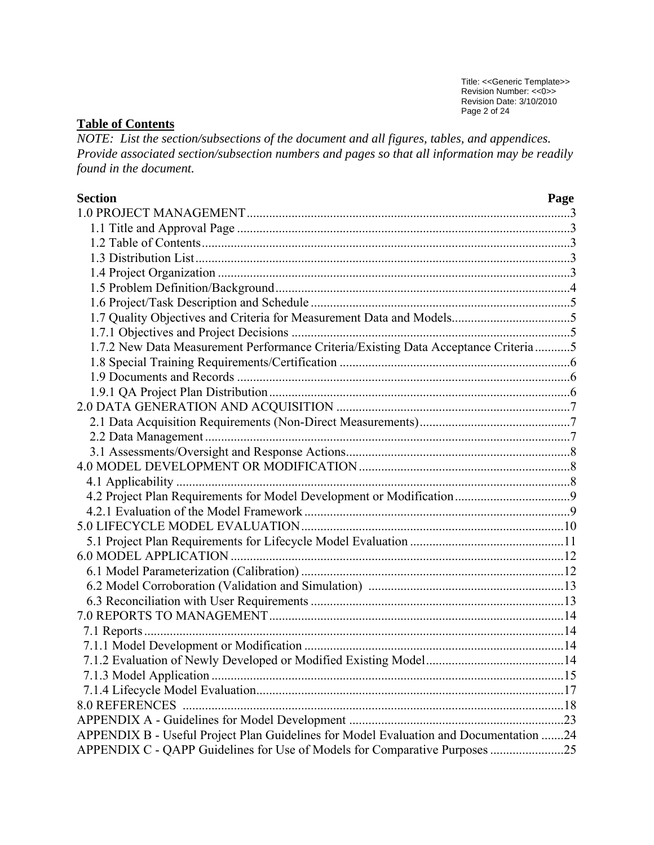Title: <<Generic Template>> Revision Number: <<0>> Revision Date: 3/10/2010 Page 2 of 24

# **Table of Contents**

*NOTE: List the section/subsections of the document and all figures, tables, and appendices. Provide associated section/subsection numbers and pages so that all information may be readily found in the document.*

| <b>Section</b>                                                                        | Page |
|---------------------------------------------------------------------------------------|------|
|                                                                                       |      |
|                                                                                       |      |
|                                                                                       |      |
|                                                                                       |      |
|                                                                                       |      |
|                                                                                       |      |
|                                                                                       |      |
|                                                                                       |      |
|                                                                                       |      |
| 1.7.2 New Data Measurement Performance Criteria/Existing Data Acceptance Criteria5    |      |
|                                                                                       |      |
|                                                                                       |      |
|                                                                                       |      |
|                                                                                       |      |
|                                                                                       |      |
|                                                                                       |      |
|                                                                                       |      |
|                                                                                       |      |
|                                                                                       |      |
|                                                                                       |      |
|                                                                                       |      |
|                                                                                       |      |
|                                                                                       |      |
|                                                                                       |      |
|                                                                                       |      |
|                                                                                       |      |
|                                                                                       |      |
|                                                                                       |      |
|                                                                                       |      |
|                                                                                       |      |
|                                                                                       |      |
|                                                                                       |      |
|                                                                                       |      |
| <b>8.0 REFERENCES</b>                                                                 |      |
|                                                                                       |      |
| APPENDIX B - Useful Project Plan Guidelines for Model Evaluation and Documentation 24 |      |
| APPENDIX C - QAPP Guidelines for Use of Models for Comparative Purposes 25            |      |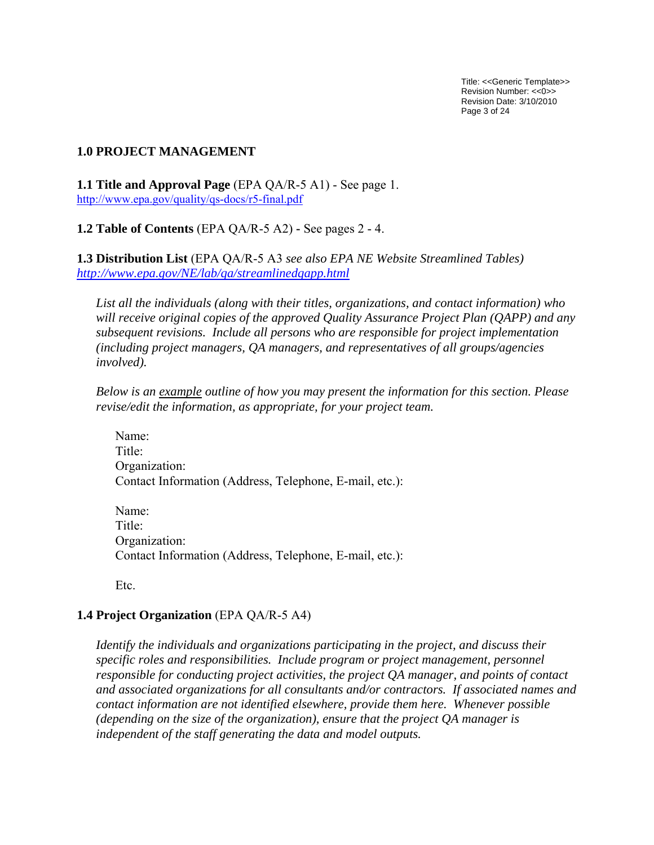Title: <<Generic Template>> Revision Number: <<0>> Revision Date: 3/10/2010 Page 3 of 24

### <span id="page-2-0"></span>**1.0 PROJECT MANAGEMENT**

**1.1 Title and Approval Page** (EPA QA/R-5 A1) - See page 1. <http://www.epa.gov/quality/qs-docs/r5-final.pdf>

**1.2 Table of Contents** (EPA QA/R-5 A2) **-** See pages 2 - 4.

**1.3 Distribution List** (EPA QA/R-5 A3 *see also EPA NE Website Streamlined Tables) <http://www.epa.gov/NE/lab/qa/streamlinedqapp.html>*

*List all the individuals (along with their titles, organizations, and contact information) who will receive original copies of the approved Quality Assurance Project Plan (QAPP) and any subsequent revisions. Include all persons who are responsible for project implementation (including project managers, QA managers, and representatives of all groups/agencies involved).* 

*Below is an example outline of how you may present the information for this section. Please revise/edit the information, as appropriate, for your project team.* 

 Name: Title<sup>-</sup> Organization: Contact Information (Address, Telephone, E-mail, etc.):

 Name: Title<sup>-</sup> Organization: Contact Information (Address, Telephone, E-mail, etc.):

Etc.

### **1.4 Project Organization** (EPA QA/R-5 A4)

*Identify the individuals and organizations participating in the project, and discuss their specific roles and responsibilities. Include program or project management, personnel responsible for conducting project activities, the project QA manager, and points of contact and associated organizations for all consultants and/or contractors. If associated names and contact information are not identified elsewhere, provide them here. Whenever possible (depending on the size of the organization), ensure that the project QA manager is independent of the staff generating the data and model outputs.*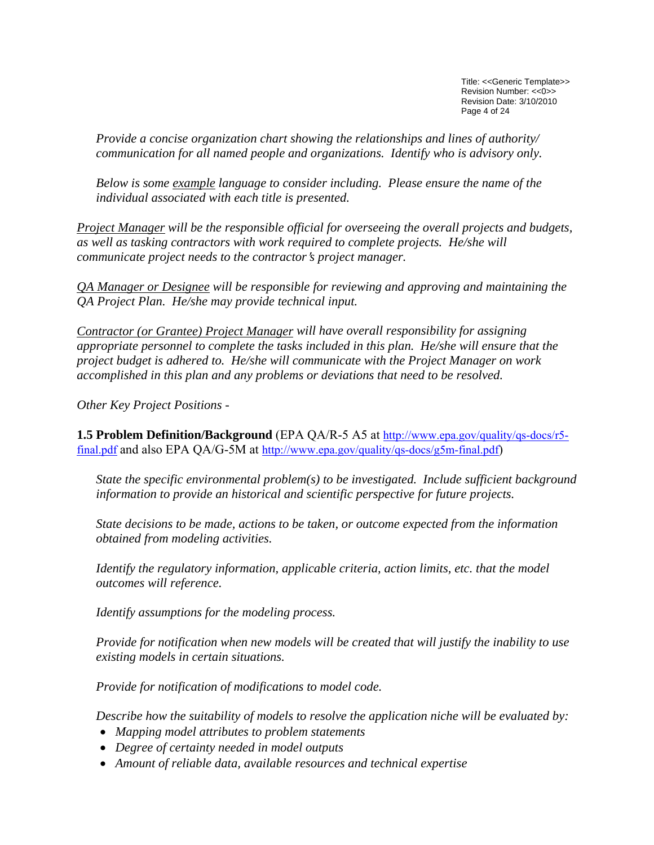Title: <<Generic Template>> Revision Number: <<0>> Revision Date: 3/10/2010 Page 4 of 24

<span id="page-3-0"></span>*Provide a concise organization chart showing the relationships and lines of authority/ communication for all named people and organizations. Identify who is advisory only.* 

*Below is some example language to consider including. Please ensure the name of the individual associated with each title is presented.*

*Project Manager will be the responsible official for overseeing the overall projects and budgets, as well as tasking contractors with work required to complete projects. He/she will communicate project needs to the contractor's project manager.* 

*QA Manager or Designee will be responsible for reviewing and approving and maintaining the QA Project Plan. He/she may provide technical input.* 

*Contractor (or Grantee) Project Manager will have overall responsibility for assigning appropriate personnel to complete the tasks included in this plan. He/she will ensure that the project budget is adhered to. He/she will communicate with the Project Manager on work accomplished in this plan and any problems or deviations that need to be resolved.* 

*Other Key Project Positions -* 

**1.5 Problem Definition/Background** (EPA QA/R-5 A5 at [http://www.epa.gov/quality/qs-docs/r5](http://www.epa.gov/quality/qs-docs/r5-final.pdf) [final.pdf](http://www.epa.gov/quality/qs-docs/r5-final.pdf) and also EPA QA/G-5M at<http://www.epa.gov/quality/qs-docs/g5m-final.pdf>)

*State the specific environmental problem(s) to be investigated. Include sufficient background information to provide an historical and scientific perspective for future projects.* 

*State decisions to be made, actions to be taken, or outcome expected from the information obtained from modeling activities.* 

*Identify the regulatory information, applicable criteria, action limits, etc. that the model outcomes will reference.* 

*Identify assumptions for the modeling process.* 

*Provide for notification when new models will be created that will justify the inability to use existing models in certain situations.* 

*Provide for notification of modifications to model code.* 

*Describe how the suitability of models to resolve the application niche will be evaluated by:* 

- *Mapping model attributes to problem statements*
- *Degree of certainty needed in model outputs*
- *Amount of reliable data, available resources and technical expertise*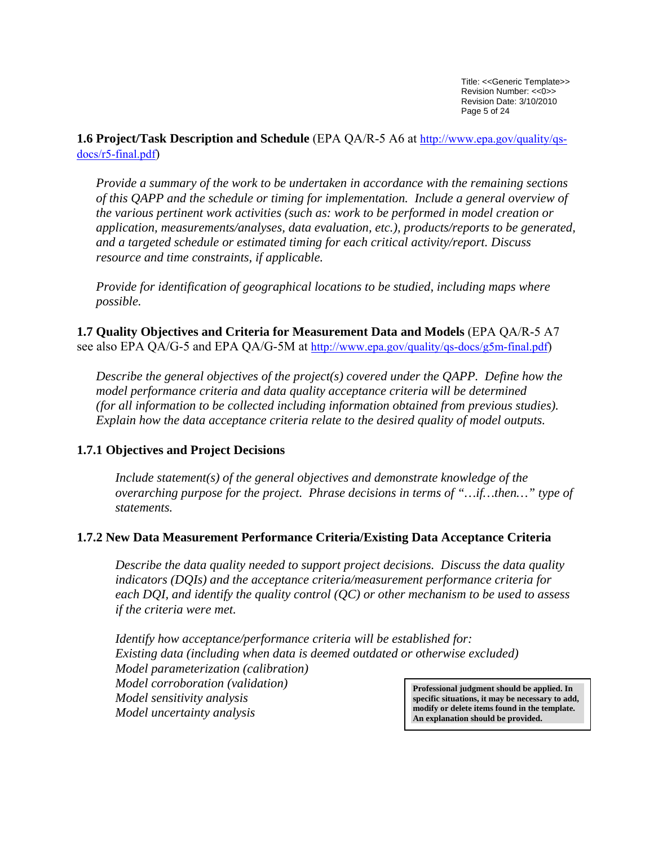<span id="page-4-0"></span>**1.6 Project/Task Description and Schedule** (EPA QA/R-5 A6 at [http://www.epa.gov/quality/qs](http://www.epa.gov/quality/qs-docs/r5-final.pdf)[docs/r5-final.pdf\)](http://www.epa.gov/quality/qs-docs/r5-final.pdf)

*Provide a summary of the work to be undertaken in accordance with the remaining sections of this QAPP and the schedule or timing for implementation. Include a general overview of the various pertinent work activities (such as: work to be performed in model creation or application, measurements/analyses, data evaluation, etc.), products/reports to be generated, and a targeted schedule or estimated timing for each critical activity/report. Discuss resource and time constraints, if applicable.* 

*Provide for identification of geographical locations to be studied, including maps where possible.*

**1.7 Quality Objectives and Criteria for Measurement Data and Models** (EPA QA/R-5 A7 see also EPA QA/G-5 and EPA QA/G-5M at [http://www.epa.gov/quality/qs-docs/g5m-final.pdf\)](http://www.epa.gov/quality/qs-docs/g5m-final.pdf)

*Describe the general objectives of the project(s) covered under the QAPP. Define how the model performance criteria and data quality acceptance criteria will be determined (for all information to be collected including information obtained from previous studies). Explain how the data acceptance criteria relate to the desired quality of model outputs.* 

### **1.7.1 Objectives and Project Decisions**

*Include statement(s) of the general objectives and demonstrate knowledge of the overarching purpose for the project. Phrase decisions in terms of "…if…then…" type of statements.* 

### **1.7.2 New Data Measurement Performance Criteria/Existing Data Acceptance Criteria**

*Describe the data quality needed to support project decisions. Discuss the data quality indicators (DQIs) and the acceptance criteria/measurement performance criteria for each DQI, and identify the quality control (QC) or other mechanism to be used to assess if the criteria were met.* 

*Identify how acceptance/performance criteria will be established for: Existing data (including when data is deemed outdated or otherwise excluded) Model parameterization (calibration) Model corroboration (validation) Model sensitivity analysis Model uncertainty analysis* **Professional judgment should be applied. In specific situations, it may be necessary to add, modify or delete items found in the template. An explanation should be provided.**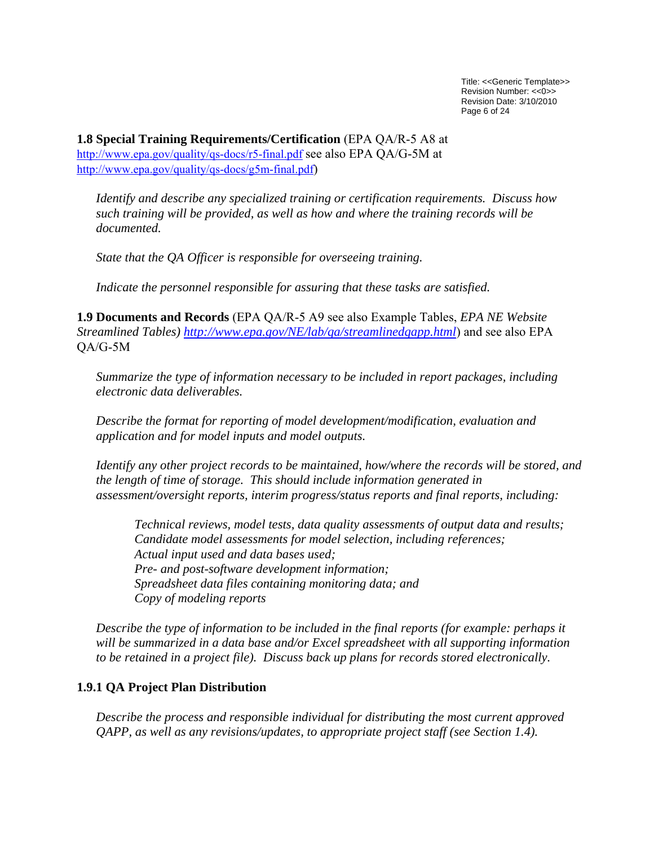Title: <<Generic Template>> Revision Number: <<0>> Revision Date: 3/10/2010 Page 6 of 24

<span id="page-5-0"></span>**1.8 Special Training Requirements/Certification** (EPA QA/R-5 A8 at <http://www.epa.gov/quality/qs-docs/r5-final.pdf> see also EPA QA/G-5M at [http://www.epa.gov/quality/qs-docs/g5m-final.pdf\)](http://www.epa.gov/quality/qs-docs/g5m-final.pdf)

*Identify and describe any specialized training or certification requirements. Discuss how such training will be provided, as well as how and where the training records will be documented.* 

*State that the QA Officer is responsible for overseeing training.* 

 *Indicate the personnel responsible for assuring that these tasks are satisfied.*

**1.9 Documents and Records** (EPA QA/R-5 A9 see also Example Tables, *EPA NE Website Streamlined Tables)<http://www.epa.gov/NE/lab/qa/streamlinedqapp.html>*) and see also EPA QA/G-5M

*Summarize the type of information necessary to be included in report packages, including electronic data deliverables.*

*Describe the format for reporting of model development/modification, evaluation and application and for model inputs and model outputs.* 

*Identify any other project records to be maintained, how/where the records will be stored, and the length of time of storage. This should include information generated in assessment/oversight reports, interim progress/status reports and final reports, including:* 

 *Technical reviews, model tests, data quality assessments of output data and results; Candidate model assessments for model selection, including references; Actual input used and data bases used; Pre- and post-software development information; Spreadsheet data files containing monitoring data; and Copy of modeling reports* 

*Describe the type of information to be included in the final reports (for example: perhaps it will be summarized in a data base and/or Excel spreadsheet with all supporting information to be retained in a project file). Discuss back up plans for records stored electronically.* 

## **1.9.1 QA Project Plan Distribution**

*Describe the process and responsible individual for distributing the most current approved QAPP, as well as any revisions/updates, to appropriate project staff (see Section 1.4).*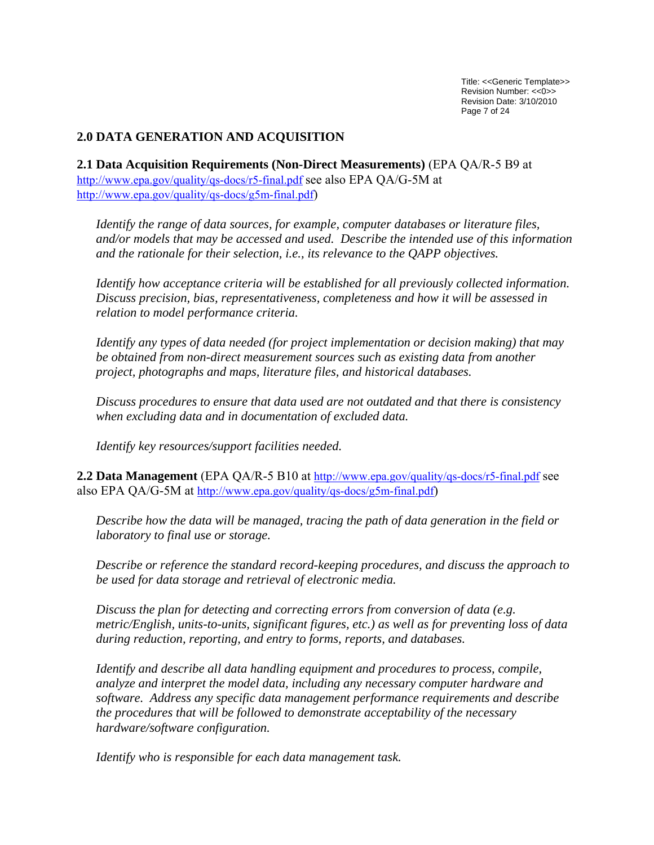Title: <<Generic Template>> Revision Number: <<0>> Revision Date: 3/10/2010 Page 7 of 24

### <span id="page-6-0"></span>**2.0 DATA GENERATION AND ACQUISITION**

**2.1 Data Acquisition Requirements (Non-Direct Measurements)** (EPA QA/R-5 B9 at <http://www.epa.gov/quality/qs-docs/r5-final.pdf> see also EPA QA/G-5M at [http://www.epa.gov/quality/qs-docs/g5m-final.pdf\)](http://www.epa.gov/quality/qs-docs/g5m-final.pdf)

*Identify the range of data sources, for example, computer databases or literature files, and/or models that may be accessed and used. Describe the intended use of this information and the rationale for their selection, i.e., its relevance to the QAPP objectives.* 

*Identify how acceptance criteria will be established for all previously collected information. Discuss precision, bias, representativeness, completeness and how it will be assessed in relation to model performance criteria.* 

*Identify any types of data needed (for project implementation or decision making) that may be obtained from non-direct measurement sources such as existing data from another project, photographs and maps, literature files, and historical databases.* 

*Discuss procedures to ensure that data used are not outdated and that there is consistency when excluding data and in documentation of excluded data.* 

*Identify key resources/support facilities needed.*

**2.2 Data Management** (EPA QA/R-5 B10 at <http://www.epa.gov/quality/qs-docs/r5-final.pdf> see also EPA QA/G-5M at <http://www.epa.gov/quality/qs-docs/g5m-final.pdf>)

*Describe how the data will be managed, tracing the path of data generation in the field or laboratory to final use or storage.* 

*Describe or reference the standard record-keeping procedures, and discuss the approach to be used for data storage and retrieval of electronic media.* 

*Discuss the plan for detecting and correcting errors from conversion of data (e.g. metric/English, units-to-units, significant figures, etc.) as well as for preventing loss of data during reduction, reporting, and entry to forms, reports, and databases.* 

*Identify and describe all data handling equipment and procedures to process, compile, analyze and interpret the model data, including any necessary computer hardware and software. Address any specific data management performance requirements and describe the procedures that will be followed to demonstrate acceptability of the necessary hardware/software configuration.* 

*Identify who is responsible for each data management task.*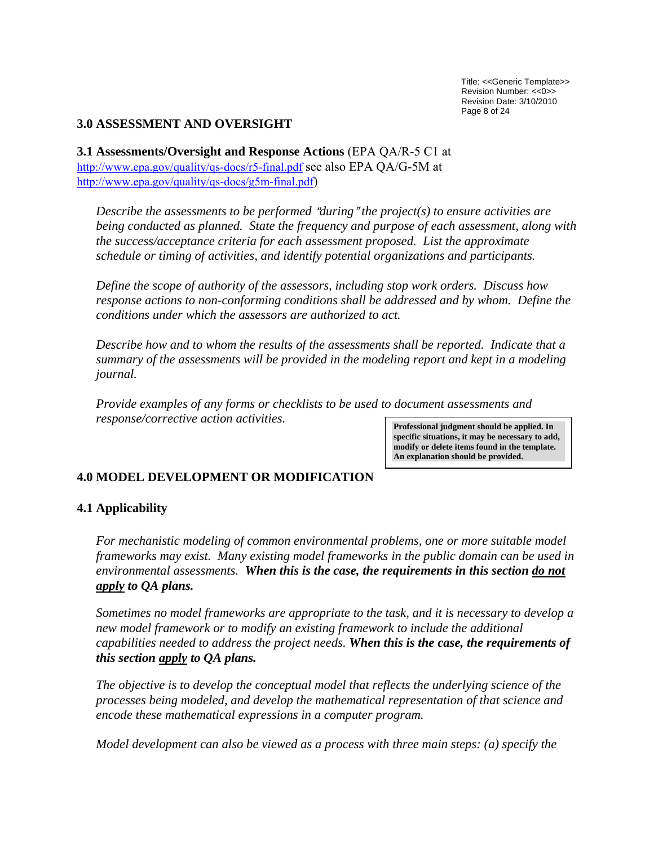Title: <<Generic Template>> Revision Number: <<0>> Revision Date: 3/10/2010 Page 8 of 24

## <span id="page-7-0"></span>**3.0 ASSESSMENT AND OVERSIGHT**

**3.1 Assessments/Oversight and Response Actions** (EPA QA/R-5 C1 at <http://www.epa.gov/quality/qs-docs/r5-final.pdf> see also EPA QA/G-5M at [http://www.epa.gov/quality/qs-docs/g5m-final.pdf\)](http://www.epa.gov/quality/qs-docs/g5m-final.pdf)

 $Describe$  the assessments to be performed "during" the project(s) to ensure activities are *being conducted as planned. State the frequency and purpose of each assessment, along with the success/acceptance criteria for each assessment proposed. List the approximate schedule or timing of activities, and identify potential organizations and participants.* 

*Define the scope of authority of the assessors, including stop work orders. Discuss how*  response actions to non-conforming conditions shall be addressed and by whom. Define the *conditions under which the assessors are authorized to act.* 

*Describe how and to whom the results of the assessments shall be reported. Indicate that a summary of the assessments will be provided in the modeling report and kept in a modeling journal.* 

*Provide examples of any forms or checklists to be used to document assessments and response/corrective action activities.* **Professional judgment should be applied. In** 

**specific situations, it may be necessary to add, modify or delete items found in the template. An explanation should be provided.**

# **4.0 MODEL DEVELOPMENT OR MODIFICATION**

## **4.1 Applicability**

*For mechanistic modeling of common environmental problems, one or more suitable model frameworks may exist. Many existing model frameworks in the public domain can be used in environmental assessments. When this is the case, the requirements in this section do not apply to QA plans.* 

*Sometimes no model frameworks are appropriate to the task, and it is necessary to develop a*  new model framework or to modify an existing framework to include the additional *capabilities needed to address the project needs. When this is the case, the requirements of this section apply to QA plans.*

*The objective is to develop the conceptual model that reflects the underlying science of the processes being modeled, and develop the mathematical representation of that science and encode these mathematical expressions in a computer program.* 

*Model development can also be viewed as a process with three main steps: (a) specify the*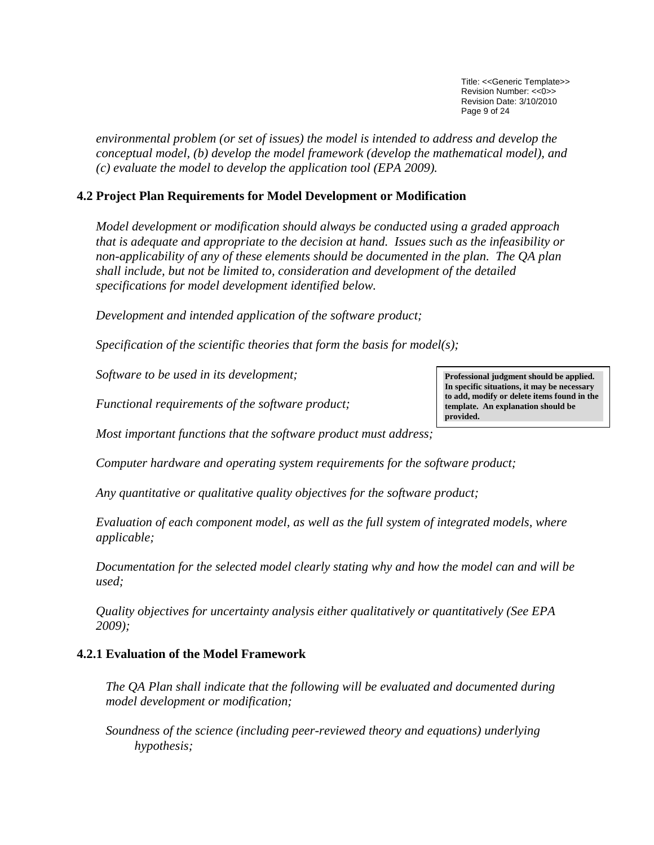Title: <<Generic Template>> Revision Number: <<0>> Revision Date: 3/10/2010 Page 9 of 24

<span id="page-8-0"></span>*environmental problem (or set of issues) the model is intended to address and develop the conceptual model, (b) develop the model framework (develop the mathematical model), and (c) evaluate the model to develop the application tool (EPA 2009).* 

## **4.2 Project Plan Requirements for Model Development or Modification**

*Model development or modification should always be conducted using a graded approach that is adequate and appropriate to the decision at hand. Issues such as the infeasibility or non-applicability of any of these elements should be documented in the plan. The QA plan shall include, but not be limited to, consideration and development of the detailed specifications for model development identified below.* 

*Development and intended application of the software product;* 

*Specification of the scientific theories that form the basis for model(s);* 

*Software to be used in its development;* 

*Functional requirements of the software product;* 

*Most important functions that the software product must address;* 

*Computer hardware and operating system requirements for the software product;* 

*Any quantitative or qualitative quality objectives for the software product;* 

*Evaluation of each component model, as well as the full system of integrated models, where applicable;* 

*Documentation for the selected model clearly stating why and how the model can and will be used;* 

*Quality objectives for uncertainty analysis either qualitatively or quantitatively (See EPA 2009);* 

## **4.2.1 Evaluation of the Model Framework**

*The QA Plan shall indicate that the following will be evaluated and documented during model development or modification;* 

*Soundness of the science (including peer-reviewed theory and equations) underlying hypothesis;* 

**Professional judgment should be applied. In specific situations, it may be necessary to add, modify or delete items found in the template. An explanation should be provided.**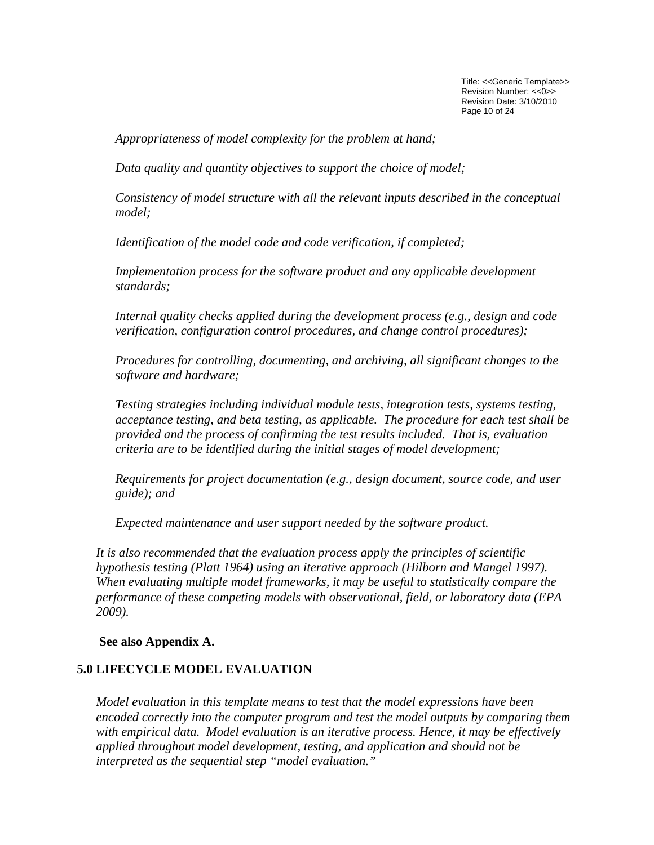Title: <<Generic Template>> Revision Number: <<0>> Revision Date: 3/10/2010 Page 10 of 24

<span id="page-9-0"></span>*Appropriateness of model complexity for the problem at hand;* 

*Data quality and quantity objectives to support the choice of model;* 

*Consistency of model structure with all the relevant inputs described in the conceptual model;* 

*Identification of the model code and code verification, if completed;* 

*Implementation process for the software product and any applicable development standards;* 

*Internal quality checks applied during the development process (e.g., design and code verification, configuration control procedures, and change control procedures);* 

*Procedures for controlling, documenting, and archiving, all significant changes to the software and hardware;* 

*Testing strategies including individual module tests, integration tests, systems testing, acceptance testing, and beta testing, as applicable. The procedure for each test shall be provided and the process of confirming the test results included. That is, evaluation criteria are to be identified during the initial stages of model development;* 

*Requirements for project documentation (e.g., design document, source code, and user guide); and* 

*Expected maintenance and user support needed by the software product.* 

*It is also recommended that the evaluation process apply the principles of scientific hypothesis testing (Platt 1964) using an iterative approach (Hilborn and Mangel 1997). When evaluating multiple model frameworks, it may be useful to statistically compare the performance of these competing models with observational, field, or laboratory data (EPA 2009).* 

**See also Appendix A.** 

## **5.0 LIFECYCLE MODEL EVALUATION**

*Model evaluation in this template means to test that the model expressions have been encoded correctly into the computer program and test the model outputs by comparing them with empirical data. Model evaluation is an iterative process. Hence, it may be effectively applied throughout model development, testing, and application and should not be interpreted as the sequential step "model evaluation."*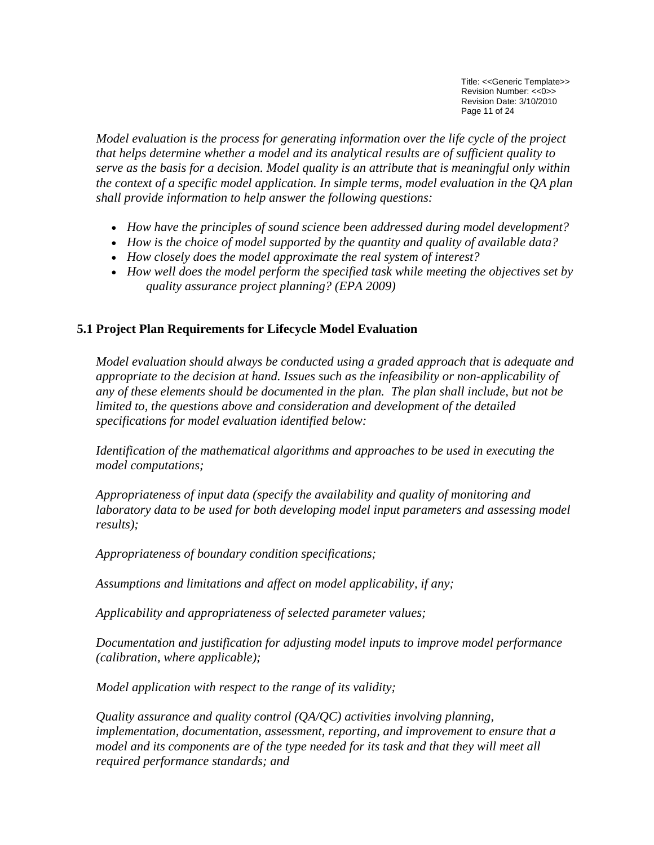Title: <<Generic Template>> Revision Number: <<0>> Revision Date: 3/10/2010 Page 11 of 24

<span id="page-10-0"></span>*Model evaluation is the process for generating information over the life cycle of the project that helps determine whether a model and its analytical results are of sufficient quality to serve as the basis for a decision. Model quality is an attribute that is meaningful only within the context of a specific model application. In simple terms, model evaluation in the QA plan shall provide information to help answer the following questions:* 

- *How have the principles of sound science been addressed during model development?*
- *How is the choice of model supported by the quantity and quality of available data?*
- *How closely does the model approximate the real system of interest?*
- *How well does the model perform the specified task while meeting the objectives set by quality assurance project planning? (EPA 2009)*

# **5.1 Project Plan Requirements for Lifecycle Model Evaluation**

*Model evaluation should always be conducted using a graded approach that is adequate and appropriate to the decision at hand. Issues such as the infeasibility or non-applicability of any of these elements should be documented in the plan. The plan shall include, but not be limited to, the questions above and consideration and development of the detailed specifications for model evaluation identified below:* 

*Identification of the mathematical algorithms and approaches to be used in executing the model computations;* 

*Appropriateness of input data (specify the availability and quality of monitoring and laboratory data to be used for both developing model input parameters and assessing model results);* 

 *Appropriateness of boundary condition specifications;* 

 *Assumptions and limitations and affect on model applicability, if any;* 

 *Applicability and appropriateness of selected parameter values;* 

*Documentation and justification for adjusting model inputs to improve model performance (calibration, where applicable);* 

 *Model application with respect to the range of its validity;* 

*Quality assurance and quality control (QA/QC) activities involving planning, implementation, documentation, assessment, reporting, and improvement to ensure that a*  model and its components are of the type needed for its task and that they will meet all *required performance standards; and*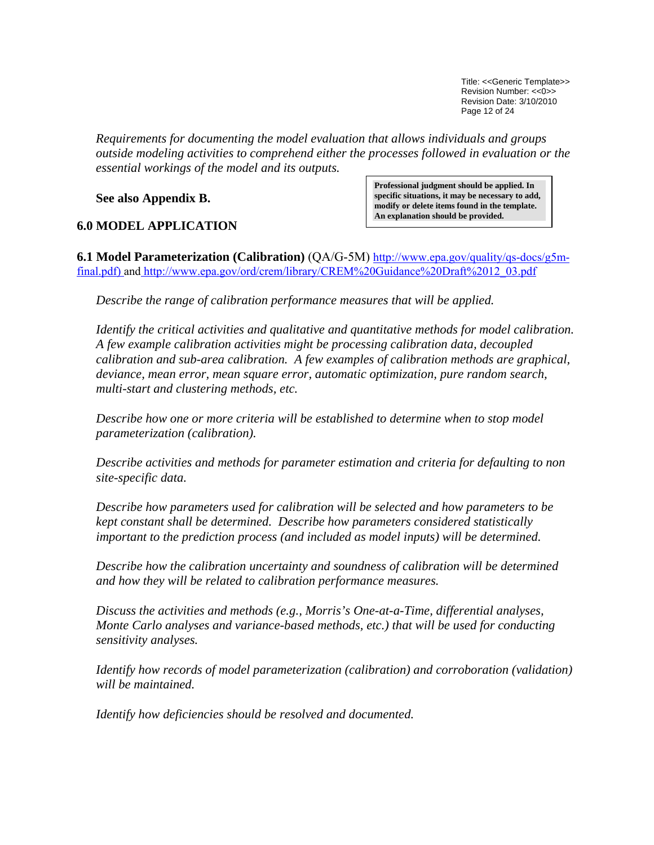Title: <<Generic Template>> Revision Number: <<0>> Revision Date: 3/10/2010 Page 12 of 24

<span id="page-11-0"></span>*Requirements for documenting the model evaluation that allows individuals and groups outside modeling activities to comprehend either the processes followed in evaluation or the essential workings of the model and its outputs.* 

**See also Appendix B.** 

## **6.0 MODEL APPLICATION**

**Professional judgment should be applied. In specific situations, it may be necessary to add, modify or delete items found in the template. An explanation should be provided.**

**6.1 Model Parameterization (Calibration)** (QA/G-5M) [http://www.epa.gov/quality/qs-docs/g5m](http://www.epa.gov/quality/qs-docs/g5m-final.pdf)[final.pdf\)](http://www.epa.gov/quality/qs-docs/g5m-final.pdf) and [http://www.epa.gov/ord/crem/library/CREM%20Guidance%20Draft%2012\\_03.pdf](http://www.epa.gov/ord/crem/library/CREM%20Guidance%20Draft%2012_03.pdf)

*Describe the range of calibration performance measures that will be applied.* 

*Identify the critical activities and qualitative and quantitative methods for model calibration. A few example calibration activities might be processing calibration data, decoupled calibration and sub-area calibration. A few examples of calibration methods are graphical, deviance, mean error, mean square error, automatic optimization, pure random search, multi-start and clustering methods, etc.* 

*Describe how one or more criteria will be established to determine when to stop model parameterization (calibration).* 

*Describe activities and methods for parameter estimation and criteria for defaulting to non site-specific data.* 

*Describe how parameters used for calibration will be selected and how parameters to be kept constant shall be determined. Describe how parameters considered statistically important to the prediction process (and included as model inputs) will be determined.* 

*Describe how the calibration uncertainty and soundness of calibration will be determined and how they will be related to calibration performance measures.* 

*Discuss the activities and methods (e.g., Morris's One-at-a-Time, differential analyses, Monte Carlo analyses and variance-based methods, etc.) that will be used for conducting sensitivity analyses.* 

*Identify how records of model parameterization (calibration) and corroboration (validation) will be maintained.* 

*Identify how deficiencies should be resolved and documented.*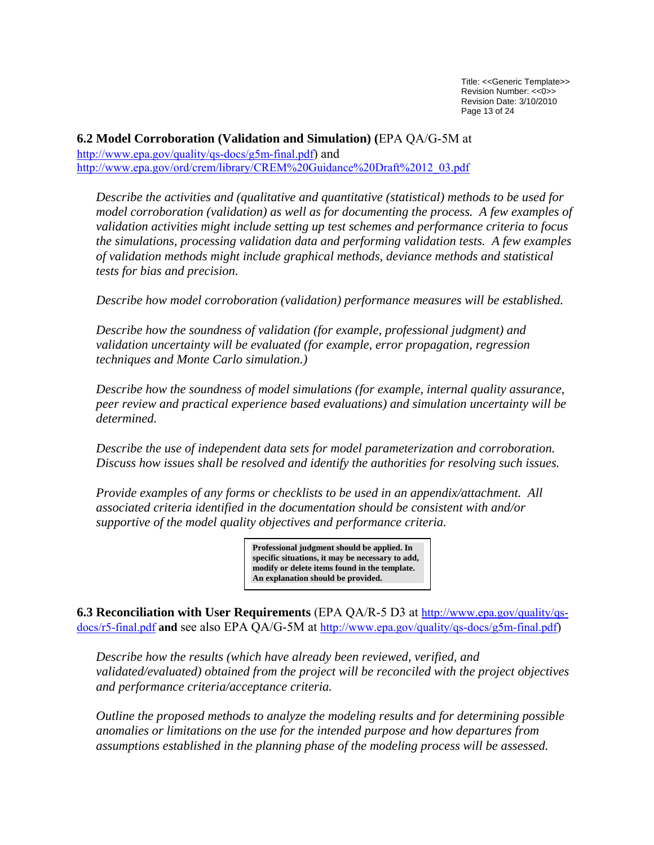Title: <<Generic Template>> Revision Number: <<0>> Revision Date: 3/10/2010 Page 13 of 24

<span id="page-12-0"></span>**6.2 Model Corroboration (Validation and Simulation) (**EPA QA/G-5M at [http://www.epa.gov/quality/qs-docs/g5m-final.pdf\)](http://www.epa.gov/quality/qs-docs/g5m-final.pdf) and [http://www.epa.gov/ord/crem/library/CREM%20Guidance%20Draft%2012\\_03.pdf](http://www.epa.gov/ord/crem/library/CREM%20Guidance%20Draft%2012_03.pdf)

*Describe the activities and (qualitative and quantitative (statistical) methods to be used for model corroboration (validation) as well as for documenting the process. A few examples of validation activities might include setting up test schemes and performance criteria to focus the simulations, processing validation data and performing validation tests. A few examples of validation methods might include graphical methods, deviance methods and statistical tests for bias and precision.* 

*Describe how model corroboration (validation) performance measures will be established.* 

*Describe how the soundness of validation (for example, professional judgment) and validation uncertainty will be evaluated (for example, error propagation, regression techniques and Monte Carlo simulation.)* 

*Describe how the soundness of model simulations (for example, internal quality assurance, peer review and practical experience based evaluations) and simulation uncertainty will be determined.* 

*Describe the use of independent data sets for model parameterization and corroboration. Discuss how issues shall be resolved and identify the authorities for resolving such issues.* 

*Provide examples of any forms or checklists to be used in an appendix/attachment. All associated criteria identified in the documentation should be consistent with and/or supportive of the model quality objectives and performance criteria.* 

> **Professional judgment should be applied. In specific situations, it may be necessary to add, modify or delete items found in the template. An explanation should be provided.**

**6.3 Reconciliation with User Requirements** (EPA QA/R-5 D3 at [http://www.epa.gov/quality/qs](http://www.epa.gov/quality/qs-docs/r5-final.pdf)[docs/r5-final.pdf](http://www.epa.gov/quality/qs-docs/r5-final.pdf) **and** see also EPA QA/G-5M at [http://www.epa.gov/quality/qs-docs/g5m-final.pdf\)](http://www.epa.gov/quality/qs-docs/g5m-final.pdf)

*Describe how the results (which have already been reviewed, verified, and validated/evaluated) obtained from the project will be reconciled with the project objectives and performance criteria/acceptance criteria.* 

*Outline the proposed methods to analyze the modeling results and for determining possible anomalies or limitations on the use for the intended purpose and how departures from assumptions established in the planning phase of the modeling process will be assessed.*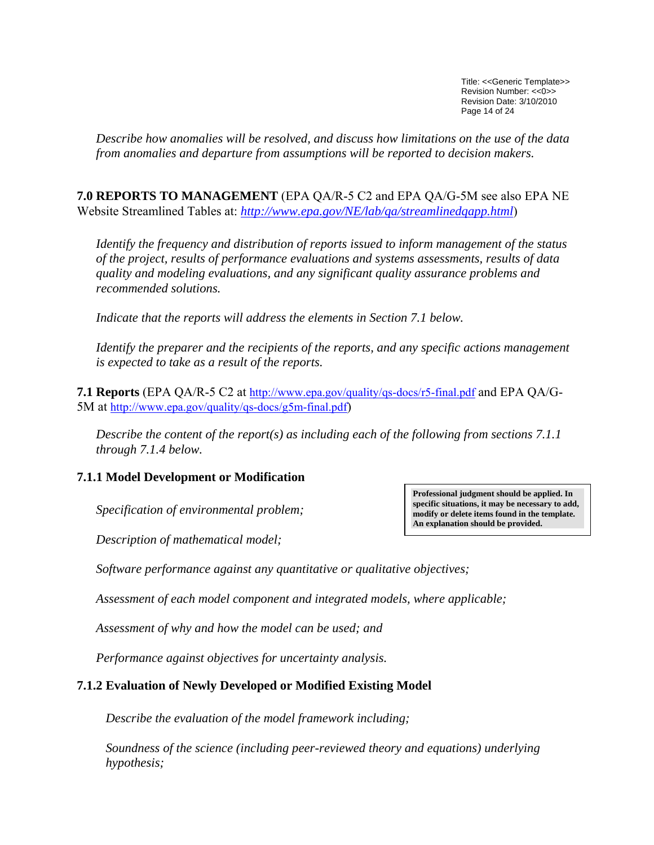Title: <<Generic Template>> Revision Number: <<0>> Revision Date: 3/10/2010 Page 14 of 24

<span id="page-13-0"></span>*Describe how anomalies will be resolved, and discuss how limitations on the use of the data from anomalies and departure from assumptions will be reported to decision makers.* 

**7.0 REPORTS TO MANAGEMENT** (EPA QA/R-5 C2 and EPA QA/G-5M see also EPA NE Website Streamlined Tables at: *<http://www.epa.gov/NE/lab/qa/streamlinedqapp.html>*)

*Identify the frequency and distribution of reports issued to inform management of the status of the project, results of performance evaluations and systems assessments, results of data quality and modeling evaluations, and any significant quality assurance problems and recommended solutions.* 

*Indicate that the reports will address the elements in Section 7.1 below.* 

*Identify the preparer and the recipients of the reports, and any specific actions management is expected to take as a result of the reports.* 

**7.1 Reports** (EPA QA/R-5 C2 at <http://www.epa.gov/quality/qs-docs/r5-final.pdf>and EPA QA/G-5M at<http://www.epa.gov/quality/qs-docs/g5m-final.pdf>)

*Describe the content of the report(s) as including each of the following from sections 7.1.1 through 7.1.4 below.* 

### **7.1.1 Model Development or Modification**

*Specification of environmental problem;* 

*Description of mathematical model;* 

*Software performance against any quantitative or qualitative objectives;* 

*Assessment of each model component and integrated models, where applicable;* 

*Assessment of why and how the model can be used; and* 

*Performance against objectives for uncertainty analysis.* 

### **7.1.2 Evaluation of Newly Developed or Modified Existing Model**

*Describe the evaluation of the model framework including;* 

*Soundness of the science (including peer-reviewed theory and equations) underlying hypothesis;* 

**Professional judgment should be applied. In specific situations, it may be necessary to add, modify or delete items found in the template. An explanation should be provided.**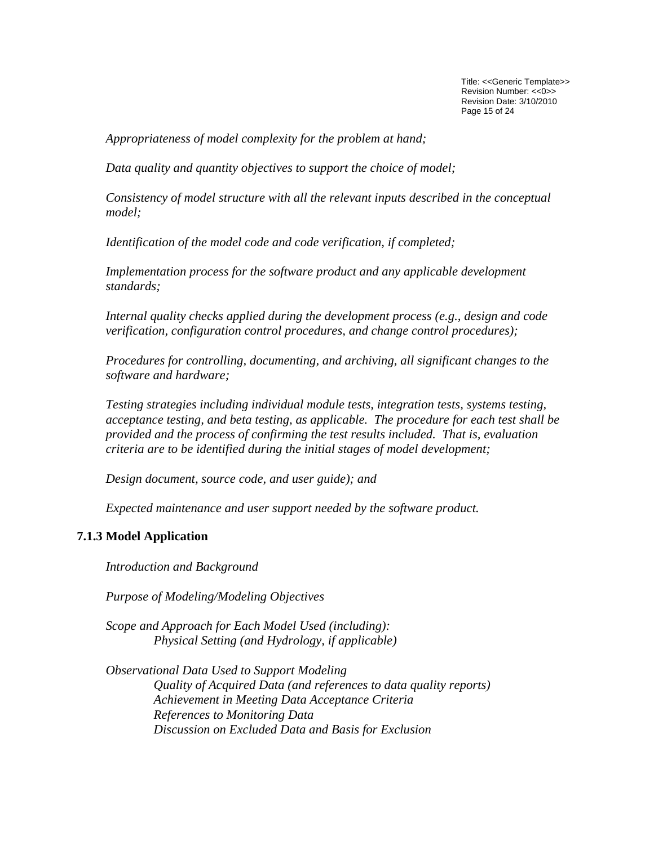Title: <<Generic Template>> Revision Number: <<0>> Revision Date: 3/10/2010 Page 15 of 24

<span id="page-14-0"></span>*Appropriateness of model complexity for the problem at hand;* 

*Data quality and quantity objectives to support the choice of model;* 

*Consistency of model structure with all the relevant inputs described in the conceptual model;* 

*Identification of the model code and code verification, if completed;* 

*Implementation process for the software product and any applicable development standards;* 

*Internal quality checks applied during the development process (e.g., design and code verification, configuration control procedures, and change control procedures);* 

*Procedures for controlling, documenting, and archiving, all significant changes to the software and hardware;* 

*Testing strategies including individual module tests, integration tests, systems testing, acceptance testing, and beta testing, as applicable. The procedure for each test shall be provided and the process of confirming the test results included. That is, evaluation criteria are to be identified during the initial stages of model development;* 

*Design document, source code, and user guide); and* 

*Expected maintenance and user support needed by the software product.* 

### **7.1.3 Model Application**

*Introduction and Background* 

*Purpose of Modeling/Modeling Objectives* 

*Scope and Approach for Each Model Used (including): Physical Setting (and Hydrology, if applicable)* 

*Observational Data Used to Support Modeling Quality of Acquired Data (and references to data quality reports) Achievement in Meeting Data Acceptance Criteria References to Monitoring Data Discussion on Excluded Data and Basis for Exclusion*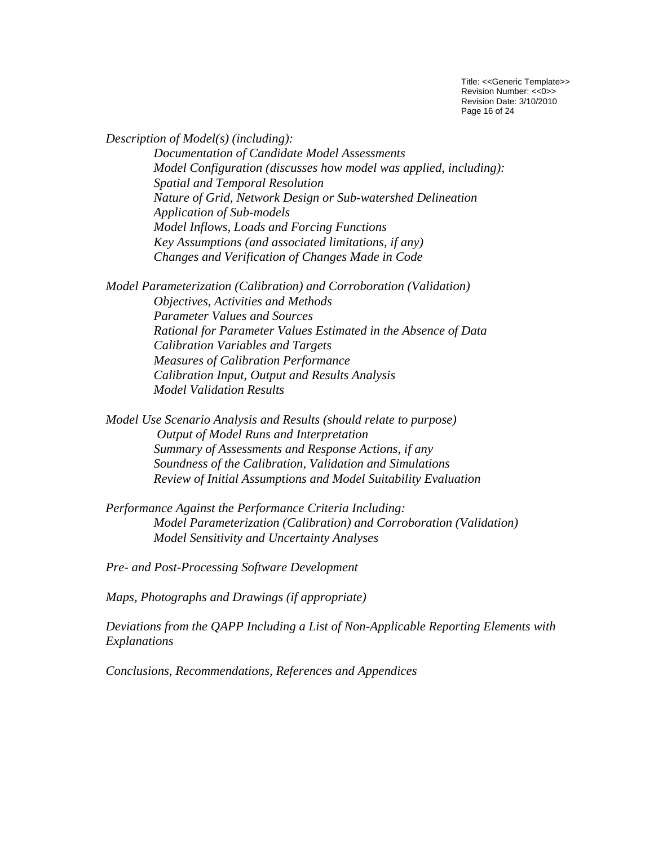Title: <<Generic Template>> Revision Number: <<0>> Revision Date: 3/10/2010 Page 16 of 24

*Description of Model(s) (including): Documentation of Candidate Model Assessments Model Configuration (discusses how model was applied, including): Spatial and Temporal Resolution Nature of Grid, Network Design or Sub-watershed Delineation Application of Sub-models Model Inflows, Loads and Forcing Functions Key Assumptions (and associated limitations, if any) Changes and Verification of Changes Made in Code* 

*Model Parameterization (Calibration) and Corroboration (Validation) Objectives, Activities and Methods Parameter Values and Sources Rational for Parameter Values Estimated in the Absence of Data Calibration Variables and Targets Measures of Calibration Performance Calibration Input, Output and Results Analysis Model Validation Results* 

*Model Use Scenario Analysis and Results (should relate to purpose) Output of Model Runs and Interpretation Summary of Assessments and Response Actions, if any Soundness of the Calibration, Validation and Simulations Review of Initial Assumptions and Model Suitability Evaluation* 

*Performance Against the Performance Criteria Including: Model Parameterization (Calibration) and Corroboration (Validation) Model Sensitivity and Uncertainty Analyses* 

*Pre- and Post-Processing Software Development* 

*Maps, Photographs and Drawings (if appropriate)*

*Deviations from the QAPP Including a List of Non-Applicable Reporting Elements with Explanations* 

*Conclusions, Recommendations, References and Appendices*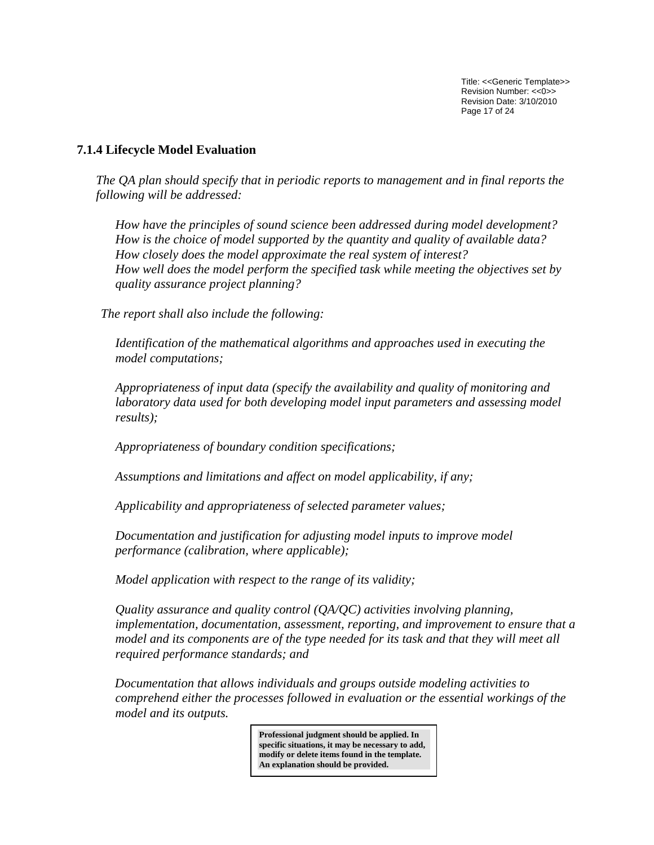Title: <<Generic Template>> Revision Number: <<0>> Revision Date: 3/10/2010 Page 17 of 24

### <span id="page-16-0"></span>**7.1.4 Lifecycle Model Evaluation**

*The QA plan should specify that in periodic reports to management and in final reports the following will be addressed:* 

*How have the principles of sound science been addressed during model development? How is the choice of model supported by the quantity and quality of available data? How closely does the model approximate the real system of interest? How well does the model perform the specified task while meeting the objectives set by quality assurance project planning?*

*The report shall also include the following:* 

 *Identification of the mathematical algorithms and approaches used in executing the model computations;* 

*Appropriateness of input data (specify the availability and quality of monitoring and laboratory data used for both developing model input parameters and assessing model results);* 

 *Appropriateness of boundary condition specifications;* 

 *Assumptions and limitations and affect on model applicability, if any;* 

 *Applicability and appropriateness of selected parameter values;* 

 *Documentation and justification for adjusting model inputs to improve model performance (calibration, where applicable);* 

 *Model application with respect to the range of its validity;* 

 *Quality assurance and quality control (QA/QC) activities involving planning, implementation, documentation, assessment, reporting, and improvement to ensure that a model and its components are of the type needed for its task and that they will meet all required performance standards; and* 

*Documentation that allows individuals and groups outside modeling activities to comprehend either the processes followed in evaluation or the essential workings of the model and its outputs.* 

> **Professional judgment should be applied. In specific situations, it may be necessary to add, modify or delete items found in the template. An explanation should be provided.**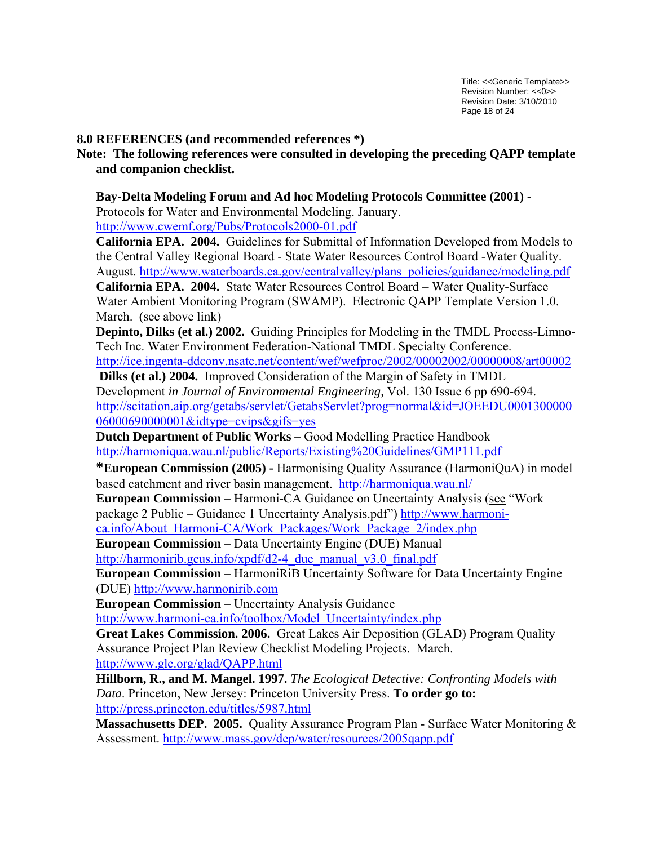### <span id="page-17-0"></span>**8.0 REFERENCES (and recommended references \*)**

**Note: The following references were consulted in developing the preceding QAPP template and companion checklist.** 

**Bay-Delta Modeling Forum and Ad hoc Modeling Protocols Committee (2001)** - Protocols for Water and Environmental Modeling. January.

<http://www.cwemf.org/Pubs/Protocols2000-01.pdf>

**California EPA. 2004.** Guidelines for Submittal of Information Developed from Models to the Central Valley Regional Board - State Water Resources Control Board -Water Quality. August. [http://www.waterboards.ca.gov/centralvalley/plans\\_policies/guidance/modeling.pdf](http://www.waterboards.ca.gov/centralvalley/plans_policies/guidance/modeling.pdf) **California EPA. 2004.** State Water Resources Control Board – Water Quality-Surface Water Ambient Monitoring Program (SWAMP). Electronic QAPP Template Version 1.0. March. (see above link)

**Depinto, Dilks (et al.) 2002.** Guiding Principles for Modeling in the TMDL Process-Limno-Tech Inc. Water Environment Federation-National TMDL Specialty Conference.

<http://ice.ingenta-ddconv.nsatc.net/content/wef/wefproc/2002/00002002/00000008/art00002>

**Dilks (et al.) 2004.** Improved Consideration of the Margin of Safety in TMDL Development *in Journal of Environmental Engineering,* Vol. 130 Issue 6 pp 690-694. [http://scitation.aip.org/getabs/servlet/GetabsServlet?prog=normal&id=JOEEDU0001300000](http://scitation.aip.org/getabs/servlet/GetabsServlet?prog=normal&id=JOEEDU000130000006000690000001&idtype=cvips&gifs=yes) [06000690000001&idtype=cvips&gifs=yes](http://scitation.aip.org/getabs/servlet/GetabsServlet?prog=normal&id=JOEEDU000130000006000690000001&idtype=cvips&gifs=yes)

**Dutch Department of Public Works** – Good Modelling Practice Handbook <http://harmoniqua.wau.nl/public/Reports/Existing%20Guidelines/GMP111.pdf>

**\*European Commission (2005) -** Harmonising Quality Assurance (HarmoniQuA) in model based catchment and river basin management.<http://harmoniqua.wau.nl/>

**European Commission** – Harmoni-CA Guidance on Uncertainty Analysis (see "Work package 2 Public – Guidance 1 Uncertainty Analysis.pdf") [http://www.harmoni-](http://www.harmoni-ca.info/About_Harmoni-CA/Work_Packages/Work_Package_2/index.php)

[ca.info/About\\_Harmoni-CA/Work\\_Packages/Work\\_Package\\_2/index.php](http://www.harmoni-ca.info/About_Harmoni-CA/Work_Packages/Work_Package_2/index.php)

**European Commission** – Data Uncertainty Engine (DUE) Manual http://harmonirib.geus.info/xpdf/d2-4 due manual v3.0 final.pdf

**European Commission** – HarmoniRiB Uncertainty Software for Data Uncertainty Engine (DUE) [http://www.harmonirib.com](http://www.harmonirib.com/)

**European Commission** – Uncertainty Analysis Guidance

[http://www.harmoni-ca.info/toolbox/Model\\_Uncertainty/index.php](http://www.harmoni-ca.info/toolbox/Model_Uncertainty/index.php)

**Great Lakes Commission. 2006.** Great Lakes Air Deposition (GLAD) Program Quality Assurance Project Plan Review Checklist Modeling Projects. March. [http://www.glc.org/glad/QAPP.html](http://www.glc.org/glad/qapps.html)

**Hillborn, R., and M. Mangel. 1997.** *The Ecological Detective: Confronting Models with Data*. Princeton, New Jersey: Princeton University Press. **To order go to:**  <http://press.princeton.edu/titles/5987.html>

**Massachusetts DEP. 2005.** Quality Assurance Program Plan - Surface Water Monitoring & Assessment. <http://www.mass.gov/dep/water/resources/2005qapp.pdf>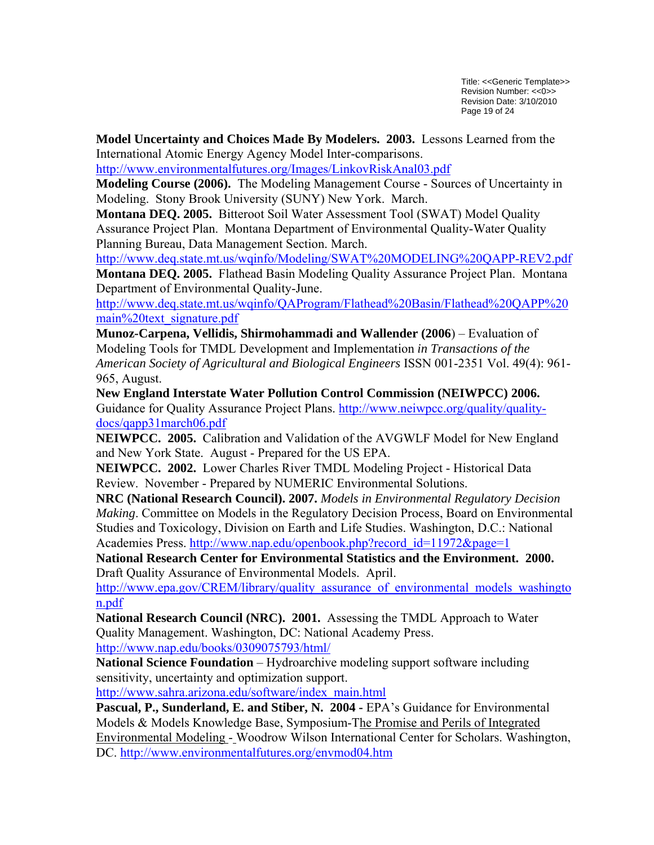Title: <<Generic Template>> Revision Number: <<0>> Revision Date: 3/10/2010 Page 19 of 24

**Model Uncertainty and Choices Made By Modelers. 2003.** Lessons Learned from the International Atomic Energy Agency Model Inter-comparisons.

<http://www.environmentalfutures.org/Images/LinkovRiskAnal03.pdf>

**Modeling Course (2006).** The Modeling Management Course - Sources of Uncertainty in Modeling. Stony Brook University (SUNY) New York. March.

**Montana DEQ. 2005.** Bitteroot Soil Water Assessment Tool (SWAT) Model Quality Assurance Project Plan. Montana Department of Environmental Quality-Water Quality Planning Bureau, Data Management Section. March.

<http://www.deq.state.mt.us/wqinfo/Modeling/SWAT%20MODELING%20QAPP-REV2.pdf>

**Montana DEQ. 2005.** Flathead Basin Modeling Quality Assurance Project Plan. Montana Department of Environmental Quality-June.

[http://www.deq.state.mt.us/wqinfo/QAProgram/Flathead%20Basin/Flathead%20QAPP%20](http://www.deq.state.mt.us/wqinfo/QAProgram/Flathead%20Basin/Flathead%20QAPP%20main%20text_signature.pdf) [main%20text\\_signature.pdf](http://www.deq.state.mt.us/wqinfo/QAProgram/Flathead%20Basin/Flathead%20QAPP%20main%20text_signature.pdf)

**Munoz-Carpena, Vellidis, Shirmohammadi and Wallender (2006**) – Evaluation of Modeling Tools for TMDL Development and Implementation *in Transactions of the American Society of Agricultural and Biological Engineers* ISSN 001-2351 Vol. 49(4): 961- 965, August.

**New England Interstate Water Pollution Control Commission (NEIWPCC) 2006.** Guidance for Quality Assurance Project Plans. [http://www.neiwpcc.org/quality/quality](http://www.neiwpcc.org/quality/quality-docs/qapp31march06.pdf)[docs/qapp31march06.pdf](http://www.neiwpcc.org/quality/quality-docs/qapp31march06.pdf)

**NEIWPCC. 2005.** Calibration and Validation of the AVGWLF Model for New England and New York State. August - Prepared for the US EPA.

**NEIWPCC. 2002.** Lower Charles River TMDL Modeling Project - Historical Data Review. November - Prepared by NUMERIC Environmental Solutions.

**NRC (National Research Council). 2007.** *Models in Environmental Regulatory Decision Making*. Committee on Models in the Regulatory Decision Process, Board on Environmental Studies and Toxicology, Division on Earth and Life Studies. Washington, D.C.: National Academies Press. [http://www.nap.edu/openbook.php?record\\_id=11972&page=1](http://www.nap.edu/openbook.php?record_id=11972&page=1)

**National Research Center for Environmental Statistics and the Environment. 2000.**  Draft Quality Assurance of Environmental Models. April.

http://www.epa.gov/CREM/library/quality assurance of environmental models washingto [n.pdf](http://www.epa.gov/CREM/library/quality_assurance_of_environmental_models_washington.pdf)

**National Research Council (NRC). 2001.** Assessing the TMDL Approach to Water Quality Management. Washington, DC: National Academy Press.

<http://www.nap.edu/books/0309075793/html/> **National Science Foundation** – Hydroarchive modeling support software including

sensitivity, uncertainty and optimization support.

[http://www.sahra.arizona.edu/software/index\\_main.html](http://www.sahra.arizona.edu/software/index_main.html)

Pascual, P., Sunderland, E. and Stiber, N. 2004 - EPA's Guidance for Environmental Models & Models Knowledge Base, Symposium-The Promise and Perils of Integrated Environmental Modeling - Woodrow Wilson International Center for Scholars. Washington, DC. <http://www.environmentalfutures.org/envmod04.htm>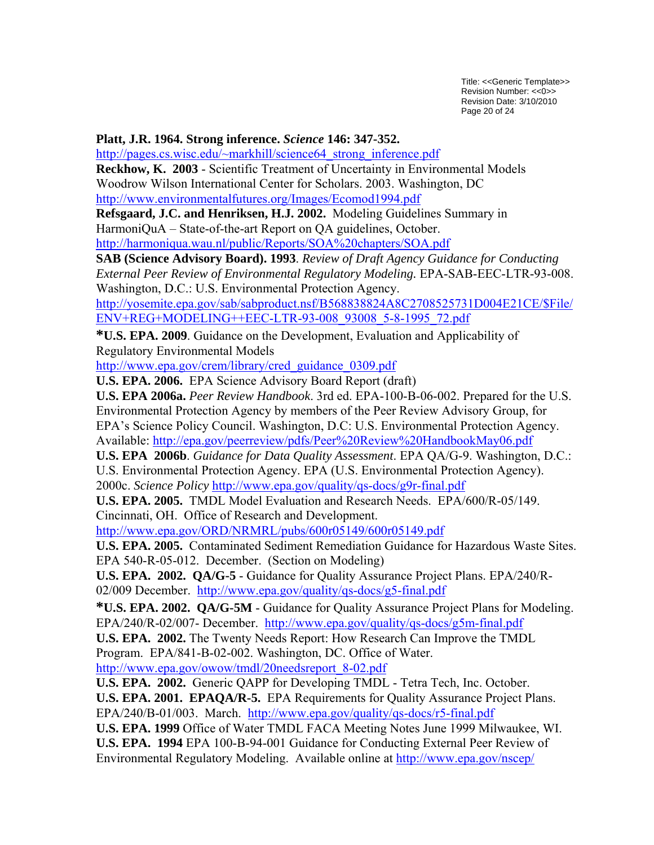Title: <<Generic Template>> Revision Number: <<0>> Revision Date: 3/10/2010 Page 20 of 24

#### **Platt, J.R. 1964. Strong inference.** *Science* **146: 347-352.**

[http://pages.cs.wisc.edu/~markhill/science64\\_strong\\_inference.pdf](http://pages.cs.wisc.edu/%7Emarkhill/science64_strong_inference.pdf)

**Reckhow, K. 2003** - Scientific Treatment of Uncertainty in Environmental Models Woodrow Wilson International Center for Scholars. 2003. Washington, DC

<http://www.environmentalfutures.org/Images/Ecomod1994.pdf>

**Refsgaard, J.C. and Henriksen, H.J. 2002.** Modeling Guidelines Summary in HarmoniQuA – State-of-the-art Report on QA guidelines, October.

<http://harmoniqua.wau.nl/public/Reports/SOA%20chapters/SOA.pdf>

**SAB (Science Advisory Board). 1993**. *Review of Draft Agency Guidance for Conducting External Peer Review of Environmental Regulatory Modeling.* EPA-SAB-EEC-LTR-93-008. Washington, D.C.: U.S. Environmental Protection Agency.

[http://yosemite.epa.gov/sab/sabproduct.nsf/B568838824A8C2708525731D004E21CE/\\$File/](http://yosemite.epa.gov/sab/sabproduct.nsf/B568838824A8C2708525731D004E21CE/$File/ENV+REG+MODELING++EEC-LTR-93-008_93008_5-8-1995_72.pdf) [ENV+REG+MODELING++EEC-LTR-93-008\\_93008\\_5-8-1995\\_72.pdf](http://yosemite.epa.gov/sab/sabproduct.nsf/B568838824A8C2708525731D004E21CE/$File/ENV+REG+MODELING++EEC-LTR-93-008_93008_5-8-1995_72.pdf)

**\*U.S. EPA. 2009**. Guidance on the Development, Evaluation and Applicability of Regulatory Environmental Models

[http://www.epa.gov/crem/library/cred\\_guidance\\_0309.pdf](http://www.epa.gov/crem/library/cred_guidance_0309.pdf)

**U.S. EPA. 2006.** EPA Science Advisory Board Report (draft)

**U.S. EPA 2006a.** *Peer Review Handbook*. 3rd ed. EPA-100-B-06-002. Prepared for the U.S. Environmental Protection Agency by members of the Peer Review Advisory Group, for EPA's Science Policy Council. Washington, D.C: U.S. Environmental Protection Agency. Available:<http://epa.gov/peerreview/pdfs/Peer%20Review%20HandbookMay06.pdf>

**U.S. EPA 2006b**. *Guidance for Data Quality Assessment*. EPA QA/G-9. Washington, D.C.: U.S. Environmental Protection Agency. EPA (U.S. Environmental Protection Agency). 2000c. *Science Policy* <http://www.epa.gov/quality/qs-docs/g9r-final.pdf>

**U.S. EPA. 2005.** TMDL Model Evaluation and Research Needs. EPA/600/R-05/149. Cincinnati, OH. Office of Research and Development.

<http://www.epa.gov/ORD/NRMRL/pubs/600r05149/600r05149.pdf>

**U.S. EPA. 2005.** Contaminated Sediment Remediation Guidance for Hazardous Waste Sites. EPA 540-R-05-012. December. (Section on Modeling)

**U.S. EPA. 2002. QA/G-5** - Guidance for Quality Assurance Project Plans. EPA/240/R-02/009 December. <http://www.epa.gov/quality/qs-docs/g5-final.pdf>

**\*U.S. EPA. 2002. QA/G-5M** - Guidance for Quality Assurance Project Plans for Modeling. EPA/240/R-02/007- December. <http://www.epa.gov/quality/qs-docs/g5m-final.pdf>

**U.S. EPA. 2002.** The Twenty Needs Report: How Research Can Improve the TMDL Program. EPA/841-B-02-002. Washington, DC. Office of Water.

[http://www.epa.gov/owow/tmdl/20needsreport\\_8-02.pdf](http://www.epa.gov/owow/tmdl/20needsreport_8-02.pdf)

**U.S. EPA. 2002.** Generic QAPP for Developing TMDL - Tetra Tech, Inc. October.

**U.S. EPA. 2001. EPAQA/R-5.** EPA Requirements for Quality Assurance Project Plans. EPA/240/B-01/003. March. <http://www.epa.gov/quality/qs-docs/r5-final.pdf>

**U.S. EPA. 1999** Office of Water TMDL FACA Meeting Notes June 1999 Milwaukee, WI. **U.S. EPA. 1994** EPA 100-B-94-001 Guidance for Conducting External Peer Review of

Environmental Regulatory Modeling. Available online at<http://www.epa.gov/nscep/>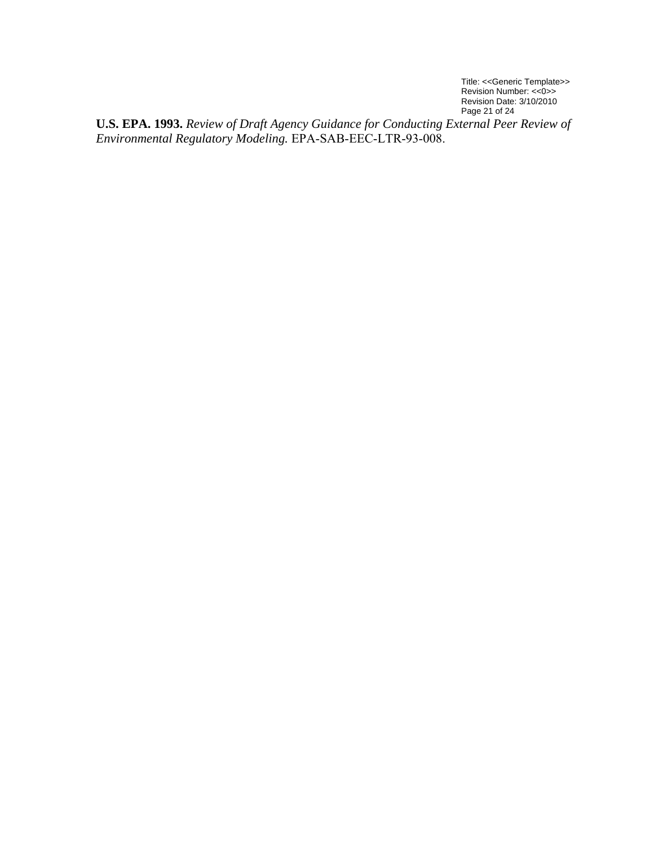Title: <<Generic Template>> Revision Number: <<0>> Revision Date: 3/10/2010 Page 21 of 24

**U.S. EPA. 1993.** *Review of Draft Agency Guidance for Conducting External Peer Review of Environmental Regulatory Modeling.* EPA-SAB-EEC-LTR-93-008.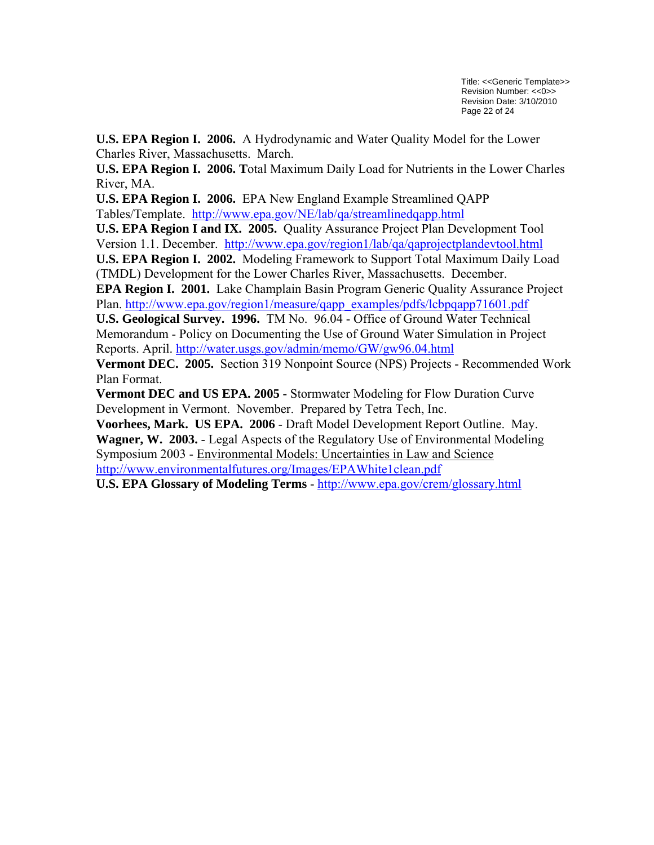**U.S. EPA Region I. 2006.** A Hydrodynamic and Water Quality Model for the Lower Charles River, Massachusetts. March.

**U.S. EPA Region I. 2006. T**otal Maximum Daily Load for Nutrients in the Lower Charles River, MA.

**U.S. EPA Region I. 2006.** EPA New England Example Streamlined QAPP Tables/Template. <http://www.epa.gov/NE/lab/qa/streamlinedqapp.html>

**U.S. EPA Region I and IX. 2005.** Quality Assurance Project Plan Development Tool Version 1.1. December. <http://www.epa.gov/region1/lab/qa/qaprojectplandevtool.html>

**U.S. EPA Region I. 2002.** Modeling Framework to Support Total Maximum Daily Load (TMDL) Development for the Lower Charles River, Massachusetts. December.

**EPA Region I. 2001.** Lake Champlain Basin Program Generic Quality Assurance Project Plan. [http://www.epa.gov/region1/measure/qapp\\_examples/pdfs/lcbpqapp71601.pdf](http://www.epa.gov/region1/measure/qapp_examples/pdfs/lcbpqapp71601.pdf)

**U.S. Geological Survey. 1996.** TM No. 96.04 - Office of Ground Water Technical Memorandum - Policy on Documenting the Use of Ground Water Simulation in Project Reports. April. <http://water.usgs.gov/admin/memo/GW/gw96.04.html>

**Vermont DEC. 2005.** Section 319 Nonpoint Source (NPS) Projects - Recommended Work Plan Format.

**Vermont DEC and US EPA. 2005 -** Stormwater Modeling for Flow Duration Curve Development in Vermont. November. Prepared by Tetra Tech, Inc.

**Voorhees, Mark. US EPA. 2006** - Draft Model Development Report Outline. May. **Wagner, W. 2003.** - Legal Aspects of the Regulatory Use of Environmental Modeling Symposium 2003 - Environmental Models: Uncertainties in Law and Science <http://www.environmentalfutures.org/Images/EPAWhite1clean.pdf>

**U.S. EPA Glossary of Modeling Terms** - <http://www.epa.gov/crem/glossary.html>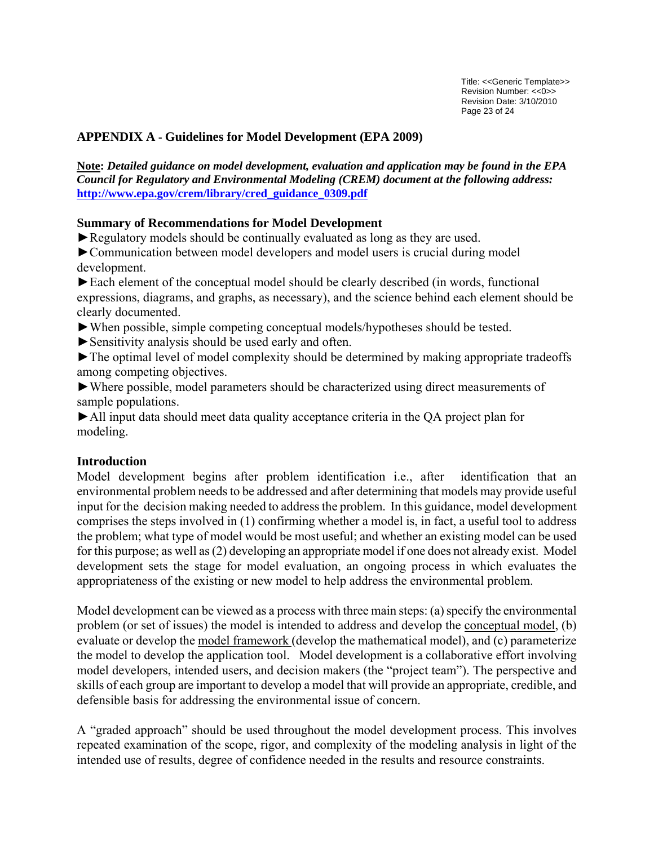# <span id="page-22-0"></span>**APPENDIX A - Guidelines for Model Development (EPA 2009)**

**Note:** *Detailed guidance on model development, evaluation and application may be found in the EPA Council for Regulatory and Environmental Modeling (CREM) document at the following address:* **[http://www.epa.gov/crem/library/cred\\_guidance\\_0309.pdf](http://www.epa.gov/crem/library/cred_guidance_0309.pdf)**

### **Summary of Recommendations for Model Development**

►Regulatory models should be continually evaluated as long as they are used.

►Communication between model developers and model users is crucial during model development.

►Each element of the conceptual model should be clearly described (in words, functional expressions, diagrams, and graphs, as necessary), and the science behind each element should be clearly documented.

- ►When possible, simple competing conceptual models/hypotheses should be tested.
- ► Sensitivity analysis should be used early and often.

►The optimal level of model complexity should be determined by making appropriate tradeoffs among competing objectives.

►Where possible, model parameters should be characterized using direct measurements of sample populations.

►All input data should meet data quality acceptance criteria in the QA project plan for modeling.

### **Introduction**

Model development begins after problem identification i.e., after identification that an environmental problem needs to be addressed and after determining that models may provide useful input for the decision making needed to address the problem. In this guidance, model development comprises the steps involved in (1) confirming whether a model is, in fact, a useful tool to address the problem; what type of model would be most useful; and whether an existing model can be used for this purpose; as well as (2) developing an appropriate model if one does not already exist. Model development sets the stage for model evaluation, an ongoing process in which evaluates the appropriateness of the existing or new model to help address the environmental problem.

Model development can be viewed as a process with three main steps: (a) specify the environmental problem (or set of issues) the model is intended to address and develop the conceptual model, (b) evaluate or develop the model framework (develop the mathematical model), and (c) parameterize the model to develop the application tool. Model development is a collaborative effort involving model developers, intended users, and decision makers (the "project team"). The perspective and skills of each group are important to develop a model that will provide an appropriate, credible, and defensible basis for addressing the environmental issue of concern.

A "graded approach" should be used throughout the model development process. This involves repeated examination of the scope, rigor, and complexity of the modeling analysis in light of the intended use of results, degree of confidence needed in the results and resource constraints.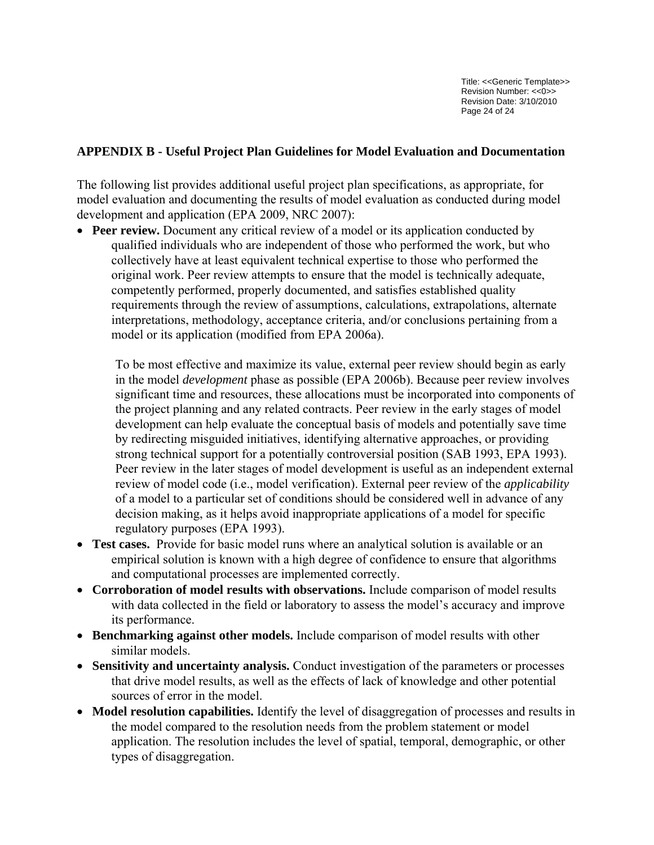Title: <<Generic Template>> Revision Number: <<0>> Revision Date: 3/10/2010 Page 24 of 24

### <span id="page-23-0"></span>**APPENDIX B - Useful Project Plan Guidelines for Model Evaluation and Documentation**

The following list provides additional useful project plan specifications, as appropriate, for model evaluation and documenting the results of model evaluation as conducted during model development and application (EPA 2009, NRC 2007):

• **Peer review.** Document any critical review of a model or its application conducted by qualified individuals who are independent of those who performed the work, but who collectively have at least equivalent technical expertise to those who performed the original work. Peer review attempts to ensure that the model is technically adequate, competently performed, properly documented, and satisfies established quality requirements through the review of assumptions, calculations, extrapolations, alternate interpretations, methodology, acceptance criteria, and/or conclusions pertaining from a model or its application (modified from EPA 2006a).

To be most effective and maximize its value, external peer review should begin as early in the model *development* phase as possible (EPA 2006b). Because peer review involves significant time and resources, these allocations must be incorporated into components of the project planning and any related contracts. Peer review in the early stages of model development can help evaluate the conceptual basis of models and potentially save time by redirecting misguided initiatives, identifying alternative approaches, or providing strong technical support for a potentially controversial position (SAB 1993, EPA 1993). Peer review in the later stages of model development is useful as an independent external review of model code (i.e., model verification). External peer review of the *applicability*  of a model to a particular set of conditions should be considered well in advance of any decision making, as it helps avoid inappropriate applications of a model for specific regulatory purposes (EPA 1993).

- **Test cases.** Provide for basic model runs where an analytical solution is available or an empirical solution is known with a high degree of confidence to ensure that algorithms and computational processes are implemented correctly.
- **Corroboration of model results with observations.** Include comparison of model results with data collected in the field or laboratory to assess the model's accuracy and improve its performance.
- **Benchmarking against other models.** Include comparison of model results with other similar models.
- **Sensitivity and uncertainty analysis.** Conduct investigation of the parameters or processes that drive model results, as well as the effects of lack of knowledge and other potential sources of error in the model.
- **Model resolution capabilities.** Identify the level of disaggregation of processes and results in the model compared to the resolution needs from the problem statement or model application. The resolution includes the level of spatial, temporal, demographic, or other types of disaggregation.